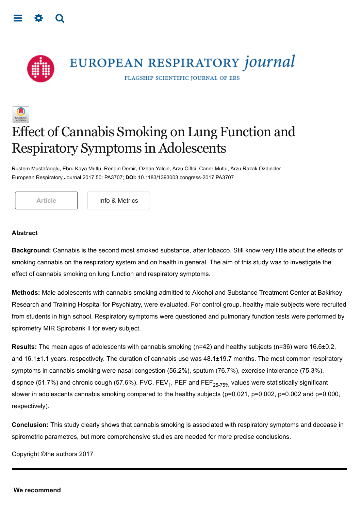<span id="page-0-0"></span>



## Effect of Cannabis Smoking on Lung Function and Respiratory Symptoms in Adolescents

Rustem Mustafaoglu, Ebru Kaya Mutlu, Rengin Demir, Ozhan Yalcin, Arzu Ciftci, Caner Mutlu, Arzu Razak Ozdincler European Respiratory Journal 2017 50: PA3707; **DOI:** 10.1183/1393003.congress-2017.PA3707

[Article](https://erj.ersjournals.com/content/50/suppl_61/PA3707) | | [Info & Metrics](https://erj.ersjournals.com/content/50/suppl_61/PA3707.article-info)

## **Abstract**

**Background:** Cannabis is the second most smoked substance, after tobacco. Still know very little about the effects of smoking cannabis on the respiratory system and on health in general. The aim of this study was to investigate the effect of cannabis smoking on lung function and respiratory symptoms.

**Methods:** Male adolescents with cannabis smoking admitted to Alcohol and Substance Treatment Center at Bakirkoy Research and Training Hospital for Psychiatry, were evaluated. For control group, healthy male subjects were recruited from students in high school. Respiratory symptoms were questioned and pulmonary function tests were performed by spirometry MIR Spirobank II for every subject.

**Results:** The mean ages of adolescents with cannabis smoking (n=42) and healthy subjects (n=36) were 16.6±0.2, and 16.1±1.1 years, respectively. The duration of cannabis use was 48.1±19.7 months. The most common respiratory symptoms in cannabis smoking were nasal congestion (56.2%), sputum (76.7%), exercise intolerance (75.3%), dispnoe (51.7%) and chronic cough (57.6%). FVC, FEV $_{\rm 1}$ , PEF and FEF $_{\rm 25\text{-}75\%}$  values were statistically significant slower in adolescents cannabis smoking compared to the healthy subjects (p=0.021, p=0.002, p=0.002 and p=0.000, respectively).

**Conclusion:** This study clearly shows that cannabis smoking is associated with respiratory symptoms and decease in spirometric parametres, but more comprehensive studies are needed for more precise conclusions.

Copyright ©the authors 2017